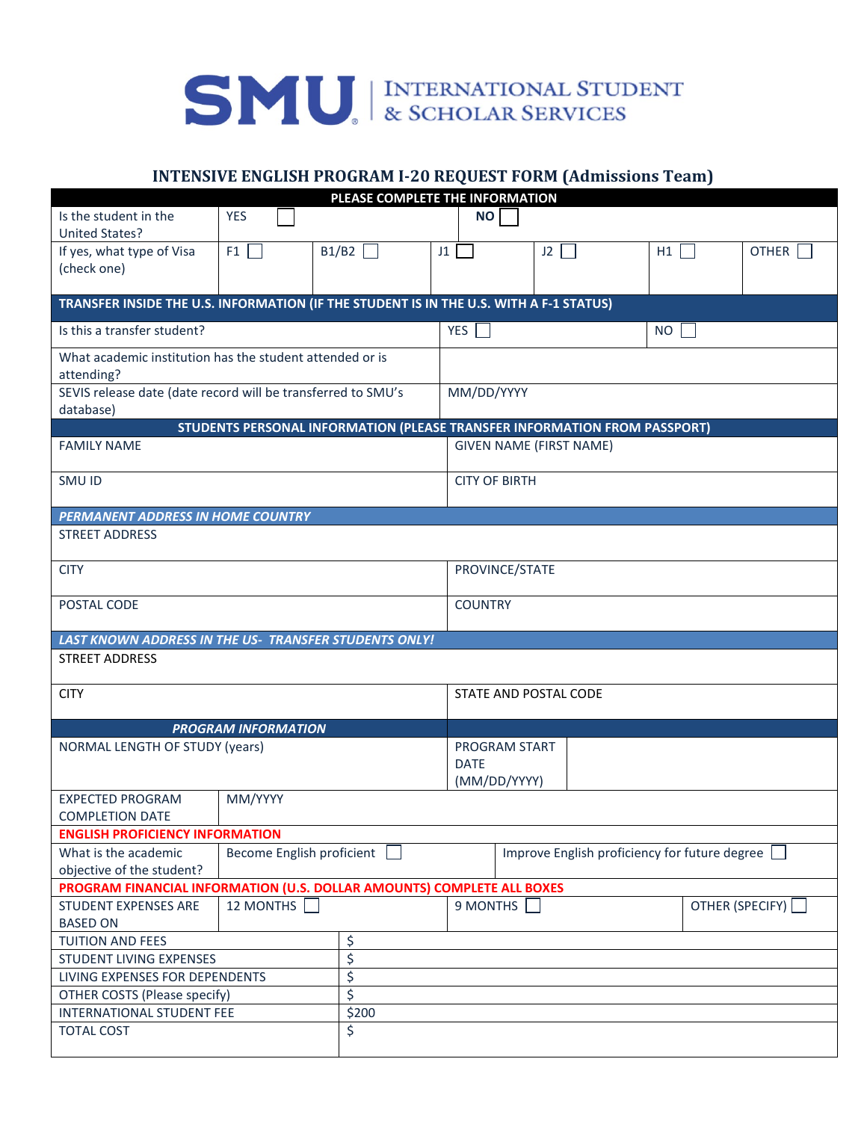

## **INTENSIVE ENGLISH PROGRAM I-20 REQUEST FORM (Admissions Team)**

| PLEASE COMPLETE THE INFORMATION                                                        |            |                                                                           |             |                                               |      |    |              |  |  |
|----------------------------------------------------------------------------------------|------------|---------------------------------------------------------------------------|-------------|-----------------------------------------------|------|----|--------------|--|--|
| Is the student in the<br><b>United States?</b>                                         | <b>YES</b> |                                                                           | <b>NO</b>   |                                               |      |    |              |  |  |
| If yes, what type of Visa<br>(check one)                                               | F1         | B1/B2                                                                     | J1          |                                               | $J2$ | H1 | <b>OTHER</b> |  |  |
| TRANSFER INSIDE THE U.S. INFORMATION (IF THE STUDENT IS IN THE U.S. WITH A F-1 STATUS) |            |                                                                           |             |                                               |      |    |              |  |  |
| Is this a transfer student?                                                            |            |                                                                           | YES         | NO.                                           |      |    |              |  |  |
| What academic institution has the student attended or is<br>attending?                 |            |                                                                           |             |                                               |      |    |              |  |  |
| SEVIS release date (date record will be transferred to SMU's<br>database)              |            |                                                                           |             | MM/DD/YYYY                                    |      |    |              |  |  |
|                                                                                        |            | STUDENTS PERSONAL INFORMATION (PLEASE TRANSFER INFORMATION FROM PASSPORT) |             |                                               |      |    |              |  |  |
| <b>FAMILY NAME</b>                                                                     |            |                                                                           |             | <b>GIVEN NAME (FIRST NAME)</b>                |      |    |              |  |  |
| SMU ID                                                                                 |            |                                                                           |             | <b>CITY OF BIRTH</b>                          |      |    |              |  |  |
| <b>PERMANENT ADDRESS IN HOME COUNTRY</b>                                               |            |                                                                           |             |                                               |      |    |              |  |  |
| <b>STREET ADDRESS</b>                                                                  |            |                                                                           |             |                                               |      |    |              |  |  |
| <b>CITY</b>                                                                            |            |                                                                           |             | PROVINCE/STATE                                |      |    |              |  |  |
| POSTAL CODE                                                                            |            |                                                                           |             | <b>COUNTRY</b>                                |      |    |              |  |  |
| <b>LAST KNOWN ADDRESS IN THE US- TRANSFER STUDENTS ONLY!</b>                           |            |                                                                           |             |                                               |      |    |              |  |  |
| <b>STREET ADDRESS</b>                                                                  |            |                                                                           |             |                                               |      |    |              |  |  |
| <b>CITY</b>                                                                            |            |                                                                           |             | STATE AND POSTAL CODE                         |      |    |              |  |  |
| <b>PROGRAM INFORMATION</b>                                                             |            |                                                                           |             |                                               |      |    |              |  |  |
| <b>NORMAL LENGTH OF STUDY (years)</b>                                                  |            |                                                                           | <b>DATE</b> | <b>PROGRAM START</b><br>(MM/DD/YYYY)          |      |    |              |  |  |
| MM/YYYY<br><b>EXPECTED PROGRAM</b><br><b>COMPLETION DATE</b>                           |            |                                                                           |             |                                               |      |    |              |  |  |
| <b>ENGLISH PROFICIENCY INFORMATION</b>                                                 |            |                                                                           |             |                                               |      |    |              |  |  |
| What is the academic<br>Become English proficient<br>objective of the student?         |            |                                                                           |             | Improve English proficiency for future degree |      |    |              |  |  |
| PROGRAM FINANCIAL INFORMATION (U.S. DOLLAR AMOUNTS) COMPLETE ALL BOXES                 |            |                                                                           |             |                                               |      |    |              |  |  |
| 12 MONTHS<br>STUDENT EXPENSES ARE<br><b>BASED ON</b>                                   |            |                                                                           |             | 9 MONTHS $\Box$<br>OTHER (SPECIFY)            |      |    |              |  |  |
| <b>TUITION AND FEES</b>                                                                |            | \$                                                                        |             |                                               |      |    |              |  |  |
| \$<br>STUDENT LIVING EXPENSES                                                          |            |                                                                           |             |                                               |      |    |              |  |  |
| \$                                                                                     |            |                                                                           |             |                                               |      |    |              |  |  |
| LIVING EXPENSES FOR DEPENDENTS                                                         |            |                                                                           |             |                                               |      |    |              |  |  |
| OTHER COSTS (Please specify)                                                           | \$         |                                                                           |             |                                               |      |    |              |  |  |
| INTERNATIONAL STUDENT FEE                                                              |            | \$200                                                                     |             |                                               |      |    |              |  |  |
| <b>TOTAL COST</b>                                                                      | \$         |                                                                           |             |                                               |      |    |              |  |  |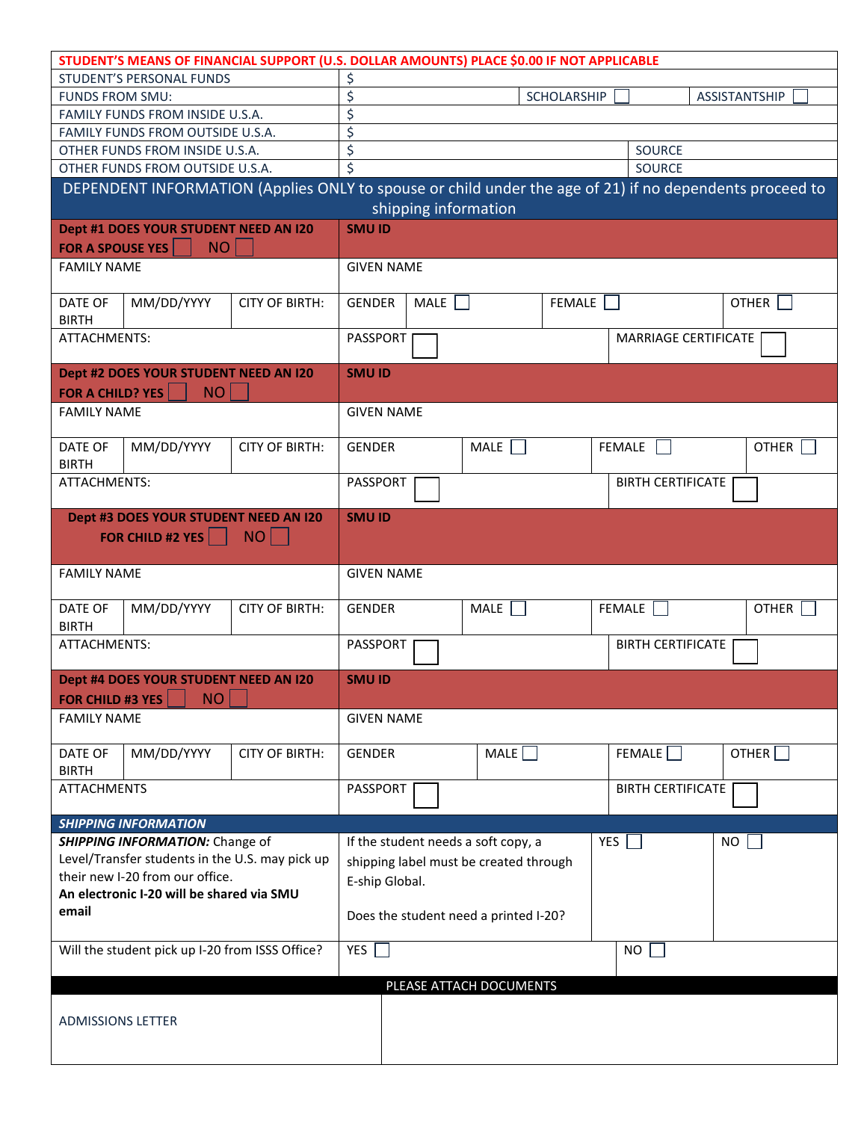|                                                    |                                       | STUDENT'S MEANS OF FINANCIAL SUPPORT (U.S. DOLLAR AMOUNTS) PLACE \$0.00 IF NOT APPLICABLE                                       |                                           |      |                                     |               |               |                          |              |  |
|----------------------------------------------------|---------------------------------------|---------------------------------------------------------------------------------------------------------------------------------|-------------------------------------------|------|-------------------------------------|---------------|---------------|--------------------------|--------------|--|
| STUDENT'S PERSONAL FUNDS                           |                                       | \$                                                                                                                              |                                           |      |                                     |               |               |                          |              |  |
| <b>FUNDS FROM SMU:</b>                             |                                       | \$                                                                                                                              |                                           |      | <b>SCHOLARSHIP</b>                  |               |               | ASSISTANTSHIP            |              |  |
| FAMILY FUNDS FROM INSIDE U.S.A.                    |                                       | \$                                                                                                                              |                                           |      |                                     |               |               |                          |              |  |
| FAMILY FUNDS FROM OUTSIDE U.S.A.                   |                                       | \$                                                                                                                              |                                           |      |                                     |               |               |                          |              |  |
| OTHER FUNDS FROM INSIDE U.S.A.                     |                                       |                                                                                                                                 | \$<br><b>SOURCE</b>                       |      |                                     |               |               |                          |              |  |
|                                                    | OTHER FUNDS FROM OUTSIDE U.S.A.       |                                                                                                                                 | SOURCE                                    |      |                                     |               |               |                          |              |  |
|                                                    |                                       | DEPENDENT INFORMATION (Applies ONLY to spouse or child under the age of 21) if no dependents proceed to<br>shipping information |                                           |      |                                     |               |               |                          |              |  |
|                                                    | Dept #1 DOES YOUR STUDENT NEED AN I20 |                                                                                                                                 | <b>SMU ID</b>                             |      |                                     |               |               |                          |              |  |
| <b>FOR A SPOUSE YES</b><br>NO                      |                                       |                                                                                                                                 |                                           |      |                                     |               |               |                          |              |  |
| <b>FAMILY NAME</b>                                 |                                       |                                                                                                                                 | <b>GIVEN NAME</b>                         |      |                                     |               |               |                          |              |  |
| DATE OF<br><b>BIRTH</b>                            | MM/DD/YYYY                            | <b>CITY OF BIRTH:</b>                                                                                                           | <b>GENDER</b>                             | MALE |                                     | <b>FEMALE</b> |               |                          | <b>OTHER</b> |  |
| ATTACHMENTS:                                       |                                       |                                                                                                                                 | PASSPORT  <br><b>MARRIAGE CERTIFICATE</b> |      |                                     |               |               |                          |              |  |
|                                                    | Dept #2 DOES YOUR STUDENT NEED AN I20 |                                                                                                                                 | <b>SMU ID</b>                             |      |                                     |               |               |                          |              |  |
| <b>FOR A CHILD? YES</b>                            | <b>NO</b>                             |                                                                                                                                 |                                           |      |                                     |               |               |                          |              |  |
| <b>FAMILY NAME</b>                                 |                                       |                                                                                                                                 | <b>GIVEN NAME</b>                         |      |                                     |               |               |                          |              |  |
|                                                    |                                       |                                                                                                                                 |                                           |      |                                     |               |               |                          |              |  |
| DATE OF<br><b>BIRTH</b>                            | MM/DD/YYYY                            | <b>CITY OF BIRTH:</b>                                                                                                           | <b>GENDER</b>                             |      | MALE                                |               | <b>FEMALE</b> |                          | <b>OTHER</b> |  |
| ATTACHMENTS:                                       |                                       |                                                                                                                                 | PASSPORT                                  |      |                                     |               |               | <b>BIRTH CERTIFICATE</b> |              |  |
| Dept #3 DOES YOUR STUDENT NEED AN I20              |                                       |                                                                                                                                 | <b>SMU ID</b>                             |      |                                     |               |               |                          |              |  |
| FOR CHILD #2 YES   NO                              |                                       |                                                                                                                                 |                                           |      |                                     |               |               |                          |              |  |
| <b>FAMILY NAME</b>                                 |                                       |                                                                                                                                 | <b>GIVEN NAME</b>                         |      |                                     |               |               |                          |              |  |
| DATE OF<br><b>BIRTH</b>                            | MM/DD/YYYY                            | <b>CITY OF BIRTH:</b>                                                                                                           | GENDER                                    |      | MALE                                |               | FEMALE        |                          | <b>OTHER</b> |  |
| ATTACHMENTS:                                       |                                       |                                                                                                                                 | PASSPORT                                  |      |                                     |               |               | <b>BIRTH CERTIFICATE</b> |              |  |
|                                                    |                                       |                                                                                                                                 |                                           |      |                                     |               |               |                          |              |  |
| Dept #4 DOES YOUR STUDENT NEED AN I20              |                                       |                                                                                                                                 | <b>SMU ID</b>                             |      |                                     |               |               |                          |              |  |
| FOR CHILD #3 YES                                   | <b>NO</b>                             |                                                                                                                                 |                                           |      |                                     |               |               |                          |              |  |
| <b>FAMILY NAME</b>                                 |                                       |                                                                                                                                 | <b>GIVEN NAME</b>                         |      |                                     |               |               |                          |              |  |
| DATE OF<br><b>BIRTH</b>                            | MM/DD/YYYY                            | <b>CITY OF BIRTH:</b>                                                                                                           | <b>GENDER</b>                             |      | MALE                                |               | FEMALE        |                          | OTHER        |  |
| <b>ATTACHMENTS</b>                                 |                                       |                                                                                                                                 | PASSPORT                                  |      |                                     |               |               | <b>BIRTH CERTIFICATE</b> |              |  |
|                                                    | <b>SHIPPING INFORMATION</b>           |                                                                                                                                 |                                           |      |                                     |               |               |                          |              |  |
| <b>SHIPPING INFORMATION: Change of</b>             |                                       |                                                                                                                                 |                                           |      | If the student needs a soft copy, a |               | YES           | NO                       |              |  |
| Level/Transfer students in the U.S. may pick up    |                                       |                                                                                                                                 | shipping label must be created through    |      |                                     |               |               |                          |              |  |
| their new I-20 from our office.                    |                                       | E-ship Global.                                                                                                                  |                                           |      |                                     |               |               |                          |              |  |
| An electronic I-20 will be shared via SMU<br>email |                                       |                                                                                                                                 |                                           |      |                                     |               |               |                          |              |  |
|                                                    |                                       | Does the student need a printed I-20?                                                                                           |                                           |      |                                     |               |               |                          |              |  |
| Will the student pick up I-20 from ISSS Office?    |                                       | YES  <br><b>NO</b>                                                                                                              |                                           |      |                                     |               |               |                          |              |  |
|                                                    |                                       |                                                                                                                                 |                                           |      | PLEASE ATTACH DOCUMENTS             |               |               |                          |              |  |
| <b>ADMISSIONS LETTER</b>                           |                                       |                                                                                                                                 |                                           |      |                                     |               |               |                          |              |  |